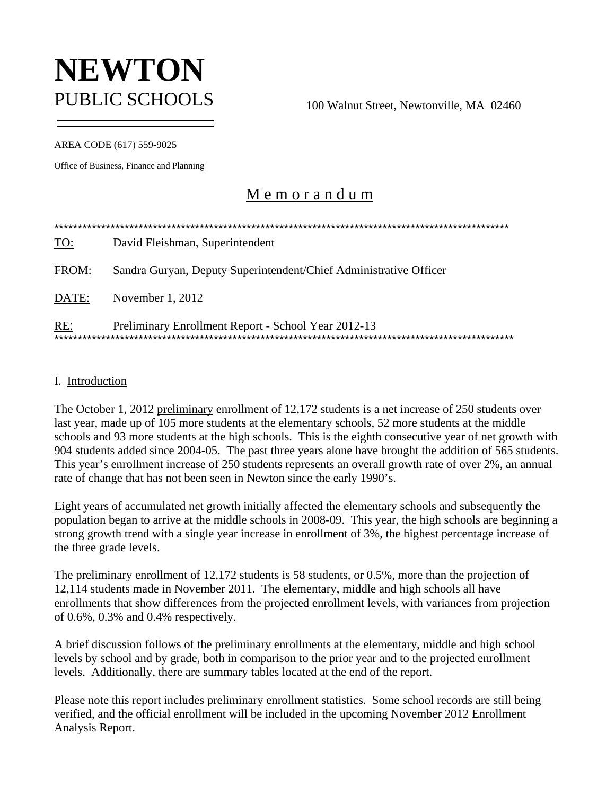# **NEWTON** PUBLIC SCHOOLS 100 Walnut Street, Newtonville, MA 02460

AREA CODE (617) 559-9025

Office of Business, Finance and Planning

## M e m o r a n d u m

| <u>TO:</u> | David Fleishman, Superintendent                                   |
|------------|-------------------------------------------------------------------|
| FROM:      | Sandra Guryan, Deputy Superintendent/Chief Administrative Officer |
| DATE:      | November 1, 2012                                                  |
| RE:        | Preliminary Enrollment Report - School Year 2012-13               |

## I. Introduction

The October 1, 2012 preliminary enrollment of 12,172 students is a net increase of 250 students over last year, made up of 105 more students at the elementary schools, 52 more students at the middle schools and 93 more students at the high schools. This is the eighth consecutive year of net growth with 904 students added since 2004-05. The past three years alone have brought the addition of 565 students. This year's enrollment increase of 250 students represents an overall growth rate of over 2%, an annual rate of change that has not been seen in Newton since the early 1990's.

Eight years of accumulated net growth initially affected the elementary schools and subsequently the population began to arrive at the middle schools in 2008-09. This year, the high schools are beginning a strong growth trend with a single year increase in enrollment of 3%, the highest percentage increase of the three grade levels.

The preliminary enrollment of 12,172 students is 58 students, or 0.5%, more than the projection of 12,114 students made in November 2011. The elementary, middle and high schools all have enrollments that show differences from the projected enrollment levels, with variances from projection of 0.6%, 0.3% and 0.4% respectively.

A brief discussion follows of the preliminary enrollments at the elementary, middle and high school levels by school and by grade, both in comparison to the prior year and to the projected enrollment levels. Additionally, there are summary tables located at the end of the report.

Please note this report includes preliminary enrollment statistics. Some school records are still being verified, and the official enrollment will be included in the upcoming November 2012 Enrollment Analysis Report.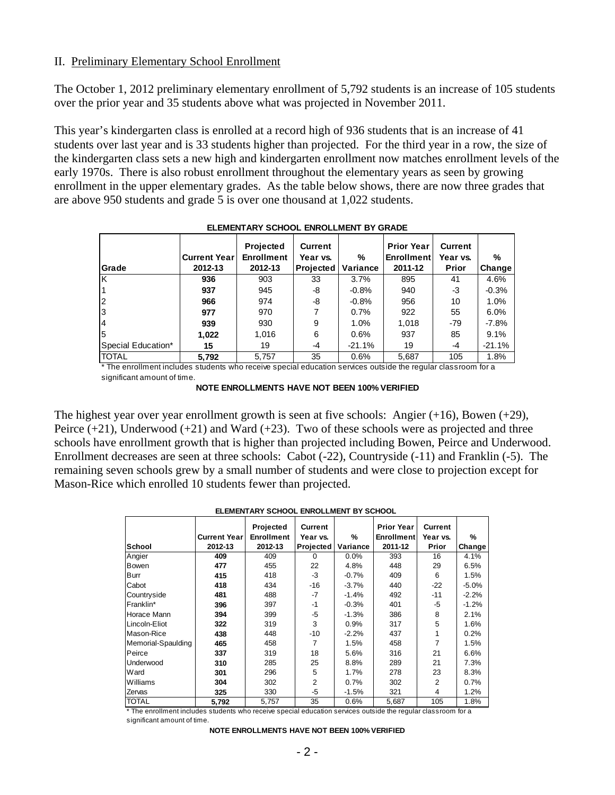## II. Preliminary Elementary School Enrollment

The October 1, 2012 preliminary elementary enrollment of 5,792 students is an increase of 105 students over the prior year and 35 students above what was projected in November 2011.

This year's kindergarten class is enrolled at a record high of 936 students that is an increase of 41 students over last year and is 33 students higher than projected. For the third year in a row, the size of the kindergarten class sets a new high and kindergarten enrollment now matches enrollment levels of the early 1970s. There is also robust enrollment throughout the elementary years as seen by growing enrollment in the upper elementary grades. As the table below shows, there are now three grades that are above 950 students and grade 5 is over one thousand at 1,022 students.

|                    |                     | <b>Projected</b>  | <b>Current</b>   |          | <b>Prior Year</b> | <b>Current</b> |          |
|--------------------|---------------------|-------------------|------------------|----------|-------------------|----------------|----------|
|                    | <b>Current Year</b> | <b>Enrollment</b> | Year vs.         | $\%$     | <b>Enrollment</b> | Year vs.       | %        |
| <b>Grade</b>       | 2012-13             | 2012-13           | <b>Projected</b> | Variance | 2011-12           | Prior          | Change   |
| lκ                 | 936                 | 903               | 33               | 3.7%     | 895               | 41             | 4.6%     |
|                    | 937                 | 945               | -8               | $-0.8%$  | 940               | -3             | $-0.3%$  |
| $\overline{2}$     | 966                 | 974               | -8               | $-0.8%$  | 956               | 10             | 1.0%     |
| 3                  | 977                 | 970               |                  | 0.7%     | 922               | 55             | 6.0%     |
|                    | 939                 | 930               | 9                | 1.0%     | 1,018             | $-79$          | -7.8%    |
| 15                 | 1,022               | 1,016             | 6                | 0.6%     | 937               | 85             | 9.1%     |
| Special Education* | 15                  | 19                | -4               | $-21.1%$ | 19                | -4             | $-21.1%$ |
| <b>TOTAL</b>       | 5,792               | 5.757             | 35               | 0.6%     | 5,687             | 105            | 1.8%     |

**ELEMENTARY SCHOOL ENROLLMENT BY GRADE**

\* The enrollment includes students who receive special education services outside the regular classroom for a significant amount of time.

**NOTE ENROLLMENTS HAVE NOT BEEN 100% VERIFIED**

The highest year over year enrollment growth is seen at five schools: Angier  $(+16)$ , Bowen  $(+29)$ , Peirce  $(+21)$ , Underwood  $(+21)$  and Ward  $(+23)$ . Two of these schools were as projected and three schools have enrollment growth that is higher than projected including Bowen, Peirce and Underwood. Enrollment decreases are seen at three schools: Cabot (-22), Countryside (-11) and Franklin (-5). The remaining seven schools grew by a small number of students and were close to projection except for Mason-Rice which enrolled 10 students fewer than projected.

#### **ELEMENTARY SCHOOL ENROLLMENT BY SCHOOL**

|                    |                      | Projected         | <b>Current</b> |          | <b>Prior Year</b> | Current  |          |
|--------------------|----------------------|-------------------|----------------|----------|-------------------|----------|----------|
|                    | <b>Current Yearl</b> | <b>Enrollment</b> | Year vs.       | %        | <b>Enrollment</b> | Year vs. | %        |
| <b>School</b>      | 2012-13              | 2012-13           | Projected      | Variance | 2011-12           | Prior    | Change   |
| Angier             | 409                  | 409               | 0              | 0.0%     | 393               | 16       | 4.1%     |
| Bowen              | 477                  | 455               | 22             | 4.8%     | 448               | 29       | 6.5%     |
| Burr               | 415                  | 418               | $-3$           | $-0.7%$  | 409               | 6        | 1.5%     |
| Cabot              | 418                  | 434               | -16            | $-3.7%$  | 440               | $-22$    | $-5.0\%$ |
| Countryside        | 481                  | 488               | $-7$           | $-1.4%$  | 492               | $-11$    | $-2.2%$  |
| Franklin*          | 396                  | 397               | $-1$           | $-0.3%$  | 401               | -5       | $-1.2%$  |
| Horace Mann        | 394                  | 399               | -5             | $-1.3%$  | 386               | 8        | 2.1%     |
| Lincoln-Eliot      | 322                  | 319               | 3              | 0.9%     | 317               | 5        | 1.6%     |
| Mason-Rice         | 438                  | 448               | -10            | $-2.2%$  | 437               | 1        | 0.2%     |
| Memorial-Spaulding | 465                  | 458               |                | 1.5%     | 458               | 7        | 1.5%     |
| Peirce             | 337                  | 319               | 18             | 5.6%     | 316               | 21       | 6.6%     |
| Underwood          | 310                  | 285               | 25             | 8.8%     | 289               | 21       | 7.3%     |
| Ward               | 301                  | 296               | 5              | 1.7%     | 278               | 23       | 8.3%     |
| Williams           | 304                  | 302               | 2              | 0.7%     | 302               | 2        | 0.7%     |
| Zervas             | 325                  | 330               | $-5$           | $-1.5%$  | 321               | 4        | 1.2%     |
| TOTAL              | 5,792                | 5,757             | 35             | 0.6%     | 5,687             | 105      | 1.8%     |

\* The enrollment includes students who receive special education services outside the regular classroom for a significant amount of time.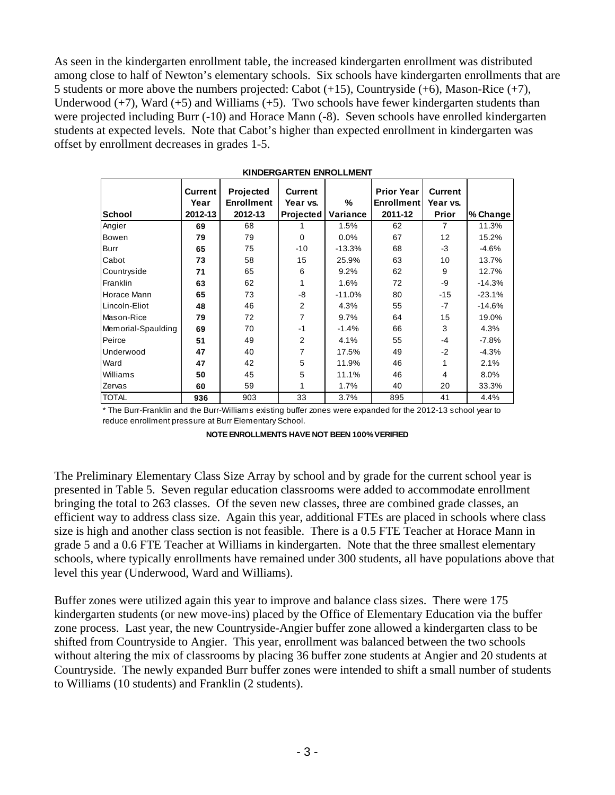As seen in the kindergarten enrollment table, the increased kindergarten enrollment was distributed among close to half of Newton's elementary schools. Six schools have kindergarten enrollments that are 5 students or more above the numbers projected: Cabot (+15), Countryside (+6), Mason-Rice (+7), Underwood  $(+7)$ , Ward  $(+5)$  and Williams  $(+5)$ . Two schools have fewer kindergarten students than were projected including Burr (-10) and Horace Mann (-8). Seven schools have enrolled kindergarten students at expected levels. Note that Cabot's higher than expected enrollment in kindergarten was offset by enrollment decreases in grades 1-5.

|                    | <b>Current</b> | <b>Projected</b>  | <b>Current</b>   |          | <b>Prior Year</b> | <b>Current</b> |          |
|--------------------|----------------|-------------------|------------------|----------|-------------------|----------------|----------|
|                    | Year           | <b>Enrollment</b> | Year vs.         | %        | <b>Enrollment</b> | Year vs.       |          |
| School             | 2012-13        | 2012-13           | <b>Projected</b> | Variance | 2011-12           | Prior          | % Change |
| Angier             | 69             | 68                |                  | 1.5%     | 62                | 7              | 11.3%    |
| Bowen              | 79             | 79                | $\mathbf 0$      | 0.0%     | 67                | 12             | 15.2%    |
| Burr               | 65             | 75                | $-10$            | $-13.3%$ | 68                | -3             | $-4.6%$  |
| Cabot              | 73             | 58                | 15               | 25.9%    | 63                | 10             | 13.7%    |
| Countryside        | 71             | 65                | 6                | 9.2%     | 62                | 9              | 12.7%    |
| Franklin           | 63             | 62                | 1                | 1.6%     | 72                | -9             | $-14.3%$ |
| Horace Mann        | 65             | 73                | -8               | $-11.0%$ | 80                | $-15$          | $-23.1%$ |
| Lincoln-Eliot      | 48             | 46                | $\overline{2}$   | 4.3%     | 55                | -7             | $-14.6%$ |
| Mason-Rice         | 79             | 72                | 7                | 9.7%     | 64                | 15             | 19.0%    |
| Memorial-Spaulding | 69             | 70                | $-1$             | $-1.4%$  | 66                | 3              | 4.3%     |
| Peirce             | 51             | 49                | 2                | 4.1%     | 55                | $-4$           | $-7.8%$  |
| Underwood          | 47             | 40                | 7                | 17.5%    | 49                | $-2$           | $-4.3%$  |
| Ward               | 47             | 42                | 5                | 11.9%    | 46                | 1              | 2.1%     |
| Williams           | 50             | 45                | 5                | 11.1%    | 46                | 4              | 8.0%     |
| Zervas             | 60             | 59                | 1                | 1.7%     | 40                | 20             | 33.3%    |
| <b>TOTAL</b>       | 936            | 903               | 33               | 3.7%     | 895               | 41             | 4.4%     |

| <b>KINDERGARTEN ENROLLMENT</b> |
|--------------------------------|
|--------------------------------|

\* The Burr-Franklin and the Burr-Williams existing buffer zones were expanded for the 2012-13 school year to reduce enrollment pressure at Burr Elementary School.

The Preliminary Elementary Class Size Array by school and by grade for the current school year is presented in Table 5. Seven regular education classrooms were added to accommodate enrollment bringing the total to 263 classes. Of the seven new classes, three are combined grade classes, an efficient way to address class size. Again this year, additional FTEs are placed in schools where class size is high and another class section is not feasible. There is a 0.5 FTE Teacher at Horace Mann in grade 5 and a 0.6 FTE Teacher at Williams in kindergarten. Note that the three smallest elementary schools, where typically enrollments have remained under 300 students, all have populations above that level this year (Underwood, Ward and Williams).

Buffer zones were utilized again this year to improve and balance class sizes. There were 175 kindergarten students (or new move-ins) placed by the Office of Elementary Education via the buffer zone process. Last year, the new Countryside-Angier buffer zone allowed a kindergarten class to be shifted from Countryside to Angier. This year, enrollment was balanced between the two schools without altering the mix of classrooms by placing 36 buffer zone students at Angier and 20 students at Countryside. The newly expanded Burr buffer zones were intended to shift a small number of students to Williams (10 students) and Franklin (2 students).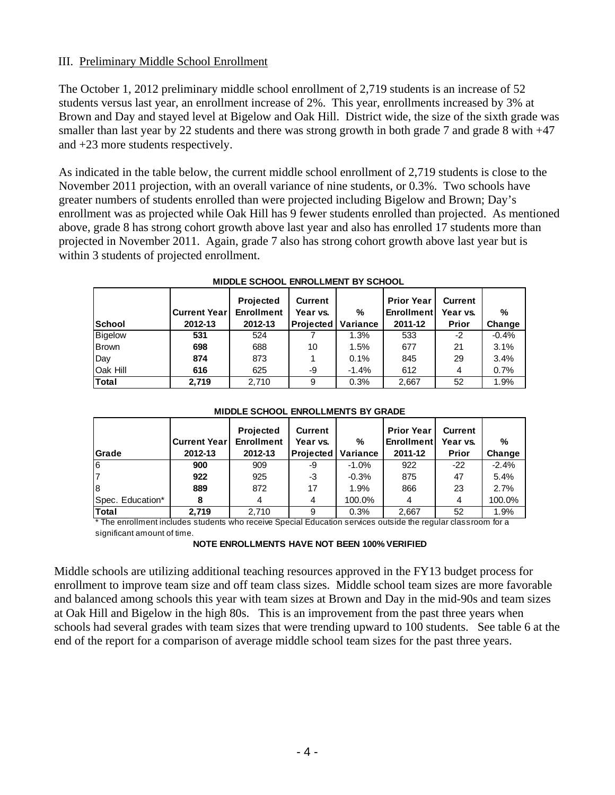## III. Preliminary Middle School Enrollment

The October 1, 2012 preliminary middle school enrollment of 2,719 students is an increase of 52 students versus last year, an enrollment increase of 2%. This year, enrollments increased by 3% at Brown and Day and stayed level at Bigelow and Oak Hill. District wide, the size of the sixth grade was smaller than last year by 22 students and there was strong growth in both grade 7 and grade 8 with  $+47$ and +23 more students respectively.

As indicated in the table below, the current middle school enrollment of 2,719 students is close to the November 2011 projection, with an overall variance of nine students, or 0.3%. Two schools have greater numbers of students enrolled than were projected including Bigelow and Brown; Day's enrollment was as projected while Oak Hill has 9 fewer students enrolled than projected. As mentioned above, grade 8 has strong cohort growth above last year and also has enrolled 17 students more than projected in November 2011. Again, grade 7 also has strong cohort growth above last year but is within 3 students of projected enrollment.

| School         | <b>Current Year</b><br>2012-13 | <b>Projected</b><br><b>Enrollment</b><br>2012-13 | <b>Current</b><br>Year vs.<br>Projected | %<br>Variance | <b>Prior Year</b><br><b>Enrollment</b><br>2011-12 | <b>Current</b><br>Year vs.<br>Prior | %<br>Change |
|----------------|--------------------------------|--------------------------------------------------|-----------------------------------------|---------------|---------------------------------------------------|-------------------------------------|-------------|
| <b>Bigelow</b> | 531                            | 524                                              |                                         | 1.3%          | 533                                               | -2                                  | $-0.4%$     |
| <b>Brown</b>   | 698                            | 688                                              | 10                                      | 1.5%          | 677                                               | 21                                  | 3.1%        |
| Day            | 874                            | 873                                              |                                         | 0.1%          | 845                                               | 29                                  | 3.4%        |
| Oak Hill       | 616                            | 625                                              | -9                                      | $-1.4%$       | 612                                               | 4                                   | 0.7%        |
| Total          | 2,719                          | 2,710                                            | 9                                       | 0.3%          | 2,667                                             | 52                                  | 1.9%        |

|  | <b>MIDDLE SCHOOL ENROLLMENT BY SCHOOL</b> |  |  |  |
|--|-------------------------------------------|--|--|--|
|--|-------------------------------------------|--|--|--|

|                  | <b>Current Year</b> | <b>Projected</b><br><b>Enrollment</b> | Current<br>Year vs. | %        | <b>Prior Year</b><br><b>Enrollment</b> | <b>Current</b><br>Year vs. | $\%$    |
|------------------|---------------------|---------------------------------------|---------------------|----------|----------------------------------------|----------------------------|---------|
| <b>Grade</b>     | 2012-13             | 2012-13                               | Projected           | Variance | 2011-12                                | Prior                      | Change  |
| l6               | 900                 | 909                                   | -9                  | $-1.0%$  | 922                                    | $-22$                      | $-2.4%$ |
|                  | 922                 | 925                                   | -3                  | $-0.3%$  | 875                                    | 47                         | 5.4%    |
| l8               | 889                 | 872                                   | 17                  | 1.9%     | 866                                    | 23                         | 2.7%    |
| Spec. Education* | 8                   | 4                                     | 4                   | 100.0%   | 4                                      | 4                          | 100.0%  |
| lTotal           | 2.719               | 2.710                                 | 9                   | 0.3%     | 2,667                                  | 52                         | 1.9%    |

## **MIDDLE SCHOOL ENROLLMENTS BY GRADE**

\* The enrollment includes students who receive Special Education services outside the regular classroom for a significant amount of time.

## **NOTE ENROLLMENTS HAVE NOT BEEN 100% VERIFIED**

Middle schools are utilizing additional teaching resources approved in the FY13 budget process for enrollment to improve team size and off team class sizes. Middle school team sizes are more favorable and balanced among schools this year with team sizes at Brown and Day in the mid-90s and team sizes at Oak Hill and Bigelow in the high 80s. This is an improvement from the past three years when schools had several grades with team sizes that were trending upward to 100 students. See table 6 at the end of the report for a comparison of average middle school team sizes for the past three years.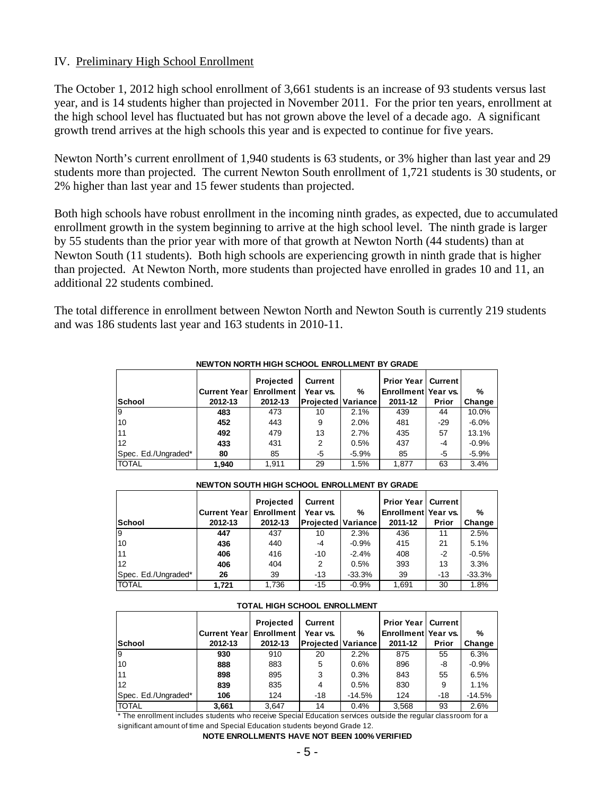## IV. Preliminary High School Enrollment

The October 1, 2012 high school enrollment of 3,661 students is an increase of 93 students versus last year, and is 14 students higher than projected in November 2011. For the prior ten years, enrollment at the high school level has fluctuated but has not grown above the level of a decade ago. A significant growth trend arrives at the high schools this year and is expected to continue for five years.

Newton North's current enrollment of 1,940 students is 63 students, or 3% higher than last year and 29 students more than projected. The current Newton South enrollment of 1,721 students is 30 students, or 2% higher than last year and 15 fewer students than projected.

Both high schools have robust enrollment in the incoming ninth grades, as expected, due to accumulated enrollment growth in the system beginning to arrive at the high school level. The ninth grade is larger by 55 students than the prior year with more of that growth at Newton North (44 students) than at Newton South (11 students). Both high schools are experiencing growth in ninth grade that is higher than projected. At Newton North, more students than projected have enrolled in grades 10 and 11, an additional 22 students combined.

The total difference in enrollment between Newton North and Newton South is currently 219 students and was 186 students last year and 163 students in 2010-11.

|                     | <b>Current Year</b> | Projected<br>Enrollment | Current<br>Year vs.       | %       | <b>Prior Year</b><br>Enrollment Year vs. | I Current I | %        |
|---------------------|---------------------|-------------------------|---------------------------|---------|------------------------------------------|-------------|----------|
| <b>School</b>       | 2012-13             | 2012-13                 | <b>Projected Variance</b> |         | 2011-12                                  | Prior       | Change   |
| l9                  | 483                 | 473                     | 10                        | 2.1%    | 439                                      | 44          | 10.0%    |
| 10                  | 452                 | 443                     | 9                         | 2.0%    | 481                                      | $-29$       | $-6.0\%$ |
| 11                  | 492                 | 479                     | 13                        | 2.7%    | 435                                      | 57          | 13.1%    |
| 12                  | 433                 | 431                     | 2                         | 0.5%    | 437                                      | -4          | $-0.9%$  |
| Spec. Ed./Ungraded* | 80                  | 85                      | -5                        | $-5.9%$ | 85                                       | -5          | $-5.9%$  |
| <b>TOTAL</b>        | 1.940               | 1.911                   | 29                        | 1.5%    | 1.877                                    | 63          | 3.4%     |

### **NEWTON NORTH HIGH SCHOOL ENROLLMENT BY GRADE**

#### **NEWTON SOUTH HIGH SCHOOL ENROLLMENT BY GRADE**

|                     |                     | Projected           | Current                   |          | <b>Prior Year   Current</b> |       |               |
|---------------------|---------------------|---------------------|---------------------------|----------|-----------------------------|-------|---------------|
|                     | <b>Current Year</b> | <b>Enrollment</b> I | Year vs.                  | %        | Enrollment Year vs.         |       | $\frac{0}{0}$ |
| <b>School</b>       | 2012-13             | 2012-13             | <b>Projected Variance</b> |          | 2011-12                     | Prior | Change        |
| 9                   | 447                 | 437                 | 10                        | 2.3%     | 436                         | 11    | 2.5%          |
| 10                  | 436                 | 440                 | -4                        | $-0.9%$  | 415                         | 21    | 5.1%          |
| 11                  | 406                 | 416                 | $-10$                     | $-2.4%$  | 408                         | $-2$  | $-0.5%$       |
| 12                  | 406                 | 404                 | 2                         | 0.5%     | 393                         | 13    | 3.3%          |
| Spec. Ed./Ungraded* | 26                  | 39                  | -13                       | $-33.3%$ | 39                          | -13   | $-33.3%$      |
| <b>TOTAL</b>        | 1.721               | 1.736               | -15                       | $-0.9%$  | 1.691                       | 30    | 1.8%          |

#### **TOTAL HIGH SCHOOL ENROLLMENT**

|                     |                     | Projected  | <b>Current</b>            |          | <b>Prior Year   Current  </b> |       |          |
|---------------------|---------------------|------------|---------------------------|----------|-------------------------------|-------|----------|
|                     | <b>Current Year</b> | Enrollment | Year vs.                  | %        | Enrollment Year vs.           |       | %        |
| School              | 2012-13             | 2012-13    | <b>Projected Variance</b> |          | 2011-12                       | Prior | Change   |
| 19                  | 930                 | 910        | 20                        | 2.2%     | 875                           | 55    | 6.3%     |
| 10                  | 888                 | 883        | 5                         | 0.6%     | 896                           | -8    | $-0.9%$  |
| 11                  | 898                 | 895        | 3                         | 0.3%     | 843                           | 55    | 6.5%     |
| 12                  | 839                 | 835        | 4                         | 0.5%     | 830                           | 9     | 1.1%     |
| Spec. Ed./Ungraded* | 106                 | 124        | -18                       | $-14.5%$ | 124                           | -18   | $-14.5%$ |
| <b>TOTAL</b>        | 3,661               | 3,647      | 14                        | 0.4%     | 3,568                         | 93    | 2.6%     |

\* The enrollment includes students who receive Special Education services outside the regular classroom for a significant amount of time and Special Education students beyond Grade 12.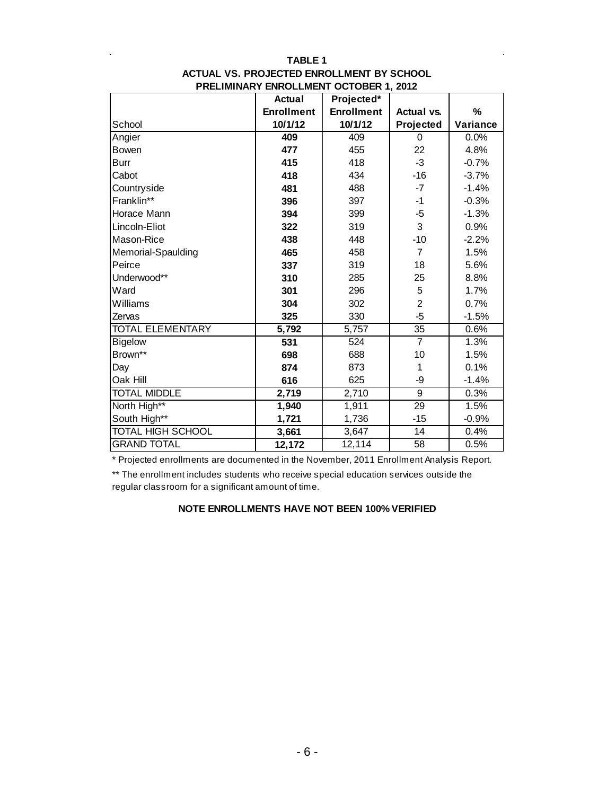|                          | <b>Actual</b>     | Projected*        |                   |          |
|--------------------------|-------------------|-------------------|-------------------|----------|
|                          | <b>Enrollment</b> | <b>Enrollment</b> | <b>Actual vs.</b> | $\%$     |
| School                   | 10/1/12           | 10/1/12           | Projected         | Variance |
| Angier                   | 409               | 409               | 0                 | 0.0%     |
| <b>Bowen</b>             | 477               | 455               | 22                | 4.8%     |
| <b>Burr</b>              | 415               | 418               | $-3$              | $-0.7%$  |
| Cabot                    | 418               | 434               | $-16$             | $-3.7%$  |
| Countryside              | 481               | 488               | $-7$              | $-1.4%$  |
| Franklin**               | 396               | 397               | $-1$              | $-0.3%$  |
| Horace Mann              | 394               | 399               | -5                | $-1.3%$  |
| Lincoln-Eliot            | 322               | 319               | 3                 | 0.9%     |
| Mason-Rice               | 438               | 448               | $-10$             | $-2.2%$  |
| Memorial-Spaulding       | 465               | 458               | $\overline{7}$    | 1.5%     |
| Peirce                   | 337               | 319               | 18                | 5.6%     |
| Underwood**              | 310               | 285               | 25                | 8.8%     |
| Ward                     | 301               | 296               | 5                 | 1.7%     |
| Williams                 | 304               | 302               | $\overline{2}$    | 0.7%     |
| Zervas                   | 325               | 330               | $-5$              | $-1.5%$  |
| <b>TOTAL ELEMENTARY</b>  | 5,792             | 5,757             | 35                | 0.6%     |
| <b>Bigelow</b>           | 531               | 524               | $\overline{7}$    | 1.3%     |
| Brown**                  | 698               | 688               | 10                | 1.5%     |
| Day                      | 874               | 873               | 1                 | 0.1%     |
| Oak Hill                 | 616               | 625               | -9                | $-1.4%$  |
| <b>TOTAL MIDDLE</b>      | 2,719             | 2,710             | 9                 | 0.3%     |
| North High**             | 1,940             | 1,911             | 29                | 1.5%     |
| South High**             | 1,721             | 1,736             | $-15$             | $-0.9%$  |
| <b>TOTAL HIGH SCHOOL</b> | 3,661             | 3,647             | 14                | 0.4%     |
| <b>GRAND TOTAL</b>       | 12,172            | 12,114            | 58                | 0.5%     |

## **TABLE 1 PRELIMINARY ENROLLMENT OCTOBER 1, 2012 ACTUAL VS. PROJECTED ENROLLMENT BY SCHOOL**

\* Projected enrollments are documented in the November, 2011 Enrollment Analysis Report.

\*\* The enrollment includes students who receive special education services outside the regular classroom for a significant amount of time.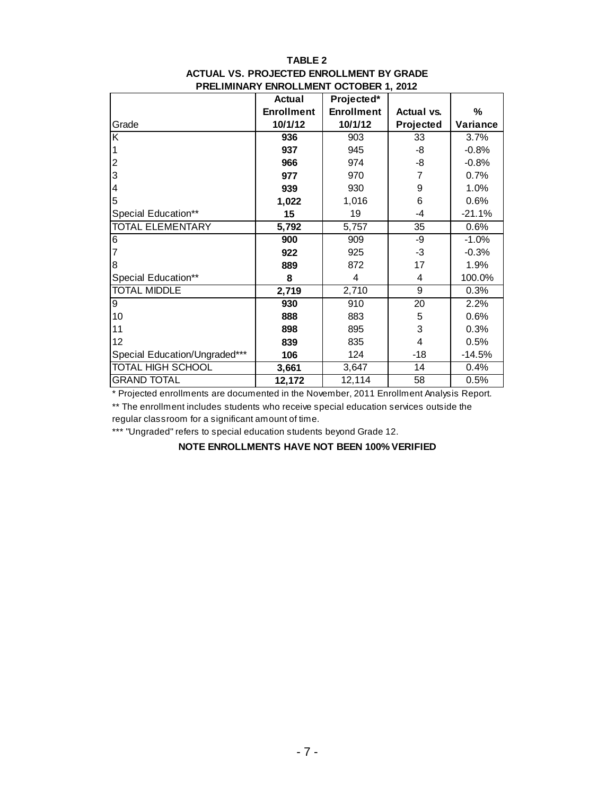## **TABLE 2 PRELIMINARY ENROLLMENT OCTOBER 1, 2012 ACTUAL VS. PROJECTED ENROLLMENT BY GRADE**

|                               | <b>Actual</b>     | Projected*        |                   |          |
|-------------------------------|-------------------|-------------------|-------------------|----------|
|                               | <b>Enrollment</b> | <b>Enrollment</b> | <b>Actual vs.</b> | %        |
| Grade                         | 10/1/12           | 10/1/12           | Projected         | Variance |
| K                             | 936               | 903               | 33                | 3.7%     |
|                               | 937               | 945               | -8                | $-0.8%$  |
| 2                             | 966               | 974               | -8                | $-0.8%$  |
| 3                             | 977               | 970               | 7                 | 0.7%     |
| 4                             | 939               | 930               | 9                 | 1.0%     |
| 5                             | 1,022             | 1,016             | 6                 | 0.6%     |
| Special Education**           | 15                | 19                | -4                | $-21.1%$ |
| <b>TOTAL ELEMENTARY</b>       | 5,792             | 5,757             | 35                | 0.6%     |
| 6                             | 900               | 909               | -9                | $-1.0%$  |
|                               | 922               | 925               | -3                | $-0.3%$  |
| 8                             | 889               | 872               | 17                | 1.9%     |
| Special Education**           | 8                 | 4                 | 4                 | 100.0%   |
| <b>TOTAL MIDDLE</b>           | 2,719             | 2,710             | 9                 | 0.3%     |
| 9                             | 930               | 910               | 20                | 2.2%     |
| 10                            | 888               | 883               | 5                 | 0.6%     |
| 11                            | 898               | 895               | 3                 | 0.3%     |
| 12                            | 839               | 835               | 4                 | 0.5%     |
| Special Education/Ungraded*** | 106               | 124               | -18               | $-14.5%$ |
| <b>TOTAL HIGH SCHOOL</b>      | 3,661             | 3,647             | 14                | 0.4%     |
| <b>GRAND TOTAL</b>            | 12,172            | 12,114            | 58                | 0.5%     |

\* Projected enrollments are documented in the November, 2011 Enrollment Analysis Report.

\*\* The enrollment includes students who receive special education services outside the regular classroom for a significant amount of time.

\*\*\* "Ungraded" refers to special education students beyond Grade 12.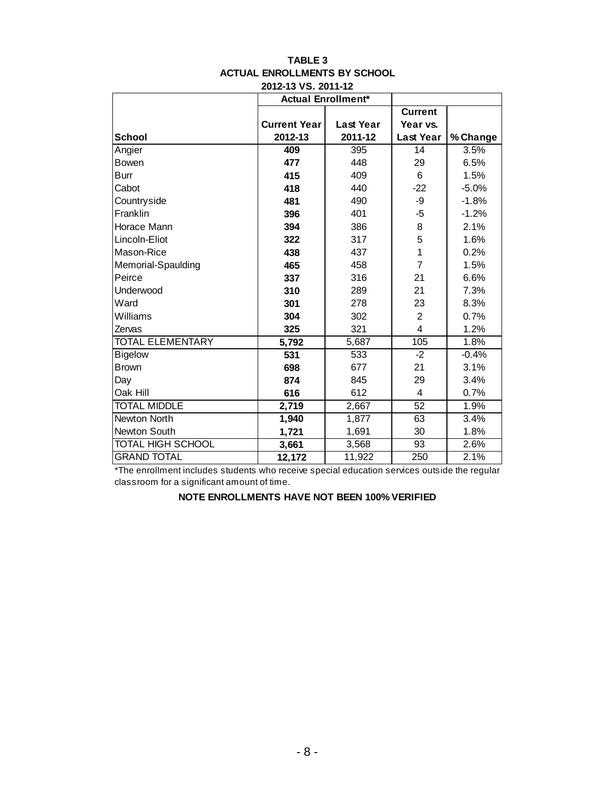|                         |                     | <b>Actual Enrollment*</b> |                         |          |
|-------------------------|---------------------|---------------------------|-------------------------|----------|
|                         |                     |                           | <b>Current</b>          |          |
|                         | <b>Current Year</b> | <b>Last Year</b>          | Year vs.                |          |
| <b>School</b>           | 2012-13             | 2011-12                   | <b>Last Year</b>        | % Change |
| Angier                  | 409                 | 395                       | 14                      | 3.5%     |
| <b>Bowen</b>            | 477                 | 448                       | 29                      | 6.5%     |
| Burr                    | 415                 | 409                       | 6                       | 1.5%     |
| Cabot                   | 418                 | 440                       | $-22$                   | $-5.0%$  |
| Countryside             | 481                 | 490                       | -9                      | $-1.8%$  |
| Franklin                | 396                 | 401                       | $-5$                    | $-1.2%$  |
| Horace Mann             | 394                 | 386                       | 8                       | 2.1%     |
| Lincoln-Eliot           | 322                 | 317                       | 5                       | 1.6%     |
| Mason-Rice              | 438                 | 437                       | 1                       | 0.2%     |
| Memorial-Spaulding      | 465                 | 458                       | 7                       | 1.5%     |
| Peirce                  | 337                 | 316                       | 21                      | 6.6%     |
| Underwood               | 310                 | 289                       | 21                      | 7.3%     |
| Ward                    | 301                 | 278                       | 23                      | 8.3%     |
| Williams                | 304                 | 302                       | 2                       | 0.7%     |
| Zervas                  | 325                 | 321                       | $\overline{\mathbf{4}}$ | 1.2%     |
| <b>TOTAL ELEMENTARY</b> | 5,792               | 5,687                     | 105                     | 1.8%     |
| <b>Bigelow</b>          | 531                 | 533                       | $-2$                    | $-0.4%$  |
| <b>Brown</b>            | 698                 | 677                       | 21                      | 3.1%     |
| Day                     | 874                 | 845                       | 29                      | 3.4%     |
| Oak Hill                | 616                 | 612                       | $\overline{4}$          | 0.7%     |
| <b>TOTAL MIDDLE</b>     | 2,719               | 2,667                     | 52                      | 1.9%     |
| <b>Newton North</b>     | 1,940               | 1,877                     | 63                      | 3.4%     |
| Newton South            | 1,721               | 1,691                     | 30                      | 1.8%     |
| TOTAL HIGH SCHOOL       | 3,661               | 3,568                     | 93                      | 2.6%     |
| <b>GRAND TOTAL</b>      | 12,172              | 11,922                    | 250                     | 2.1%     |

#### **TABLE 3 ACTUAL ENROLLMENTS BY SCHOOL 2012-13 VS. 2011-12**

\*The enrollment includes students who receive special education services outside the regular classroom for a significant amount of time.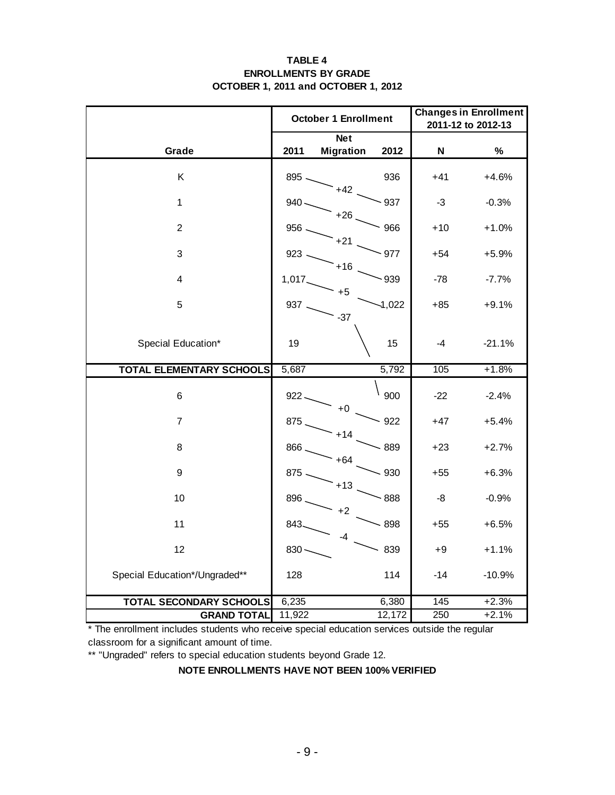## **TABLE 4 ENROLLMENTS BY GRADE OCTOBER 1, 2011 and OCTOBER 1, 2012**

|                                 |         | <b>October 1 Enrollment</b> | <b>Changes in Enrollment</b><br>2011-12 to 2012-13 |       |          |
|---------------------------------|---------|-----------------------------|----------------------------------------------------|-------|----------|
|                                 |         | <b>Net</b>                  |                                                    | N     | $\%$     |
| Grade                           | 2011    | <b>Migration</b>            | 2012                                               |       |          |
| Κ                               | 895.    | $+42$                       | 936                                                | $+41$ | $+4.6%$  |
| $\mathbf{1}$                    | $940 -$ | $+26$                       | $-937$                                             | $-3$  | $-0.3%$  |
| $\overline{c}$                  | 956.    | $+21$                       | 966                                                | $+10$ | $+1.0%$  |
| 3                               | 923.    | $+16$                       | $-977$                                             | $+54$ | $+5.9%$  |
| 4                               | 1,017   | $+5$                        | $-939$                                             | -78   | $-7.7%$  |
| 5                               | 937     | $-37$                       | $-1,022$                                           | $+85$ | $+9.1%$  |
| Special Education*              | 19      |                             | 15                                                 | -4    | $-21.1%$ |
| <b>TOTAL ELEMENTARY SCHOOLS</b> | 5,687   |                             | 5,792                                              | 105   | $+1.8%$  |
| 6                               | $922 -$ | +0                          | 900                                                | $-22$ | $-2.4%$  |
| $\overline{7}$                  | 875     | $+14$                       | $-922$                                             | $+47$ | $+5.4%$  |
| 8                               | 866.    | $+64$                       | $-889$                                             | $+23$ | $+2.7%$  |
| 9                               | $875 -$ | $+13$                       | $-930$                                             | $+55$ | $+6.3%$  |
| 10                              | 896     | $+2$                        | $-888$                                             | -8    | $-0.9%$  |
| 11                              | 843     | -4                          | $-898$                                             | $+55$ | $+6.5%$  |
| 12                              | $830 -$ |                             | 839                                                | +9    | $+1.1%$  |
| Special Education*/Ungraded**   | 128     |                             | 114                                                | $-14$ | $-10.9%$ |
| <b>TOTAL SECONDARY SCHOOLS</b>  | 6,235   |                             | 6,380                                              | 145   | $+2.3%$  |
| <b>GRAND TOTAL</b>              | 11,922  |                             | 12,172                                             | 250   | $+2.1%$  |

\* The enrollment includes students who receive special education services outside the regular classroom for a significant amount of time.

\*\* "Ungraded" refers to special education students beyond Grade 12.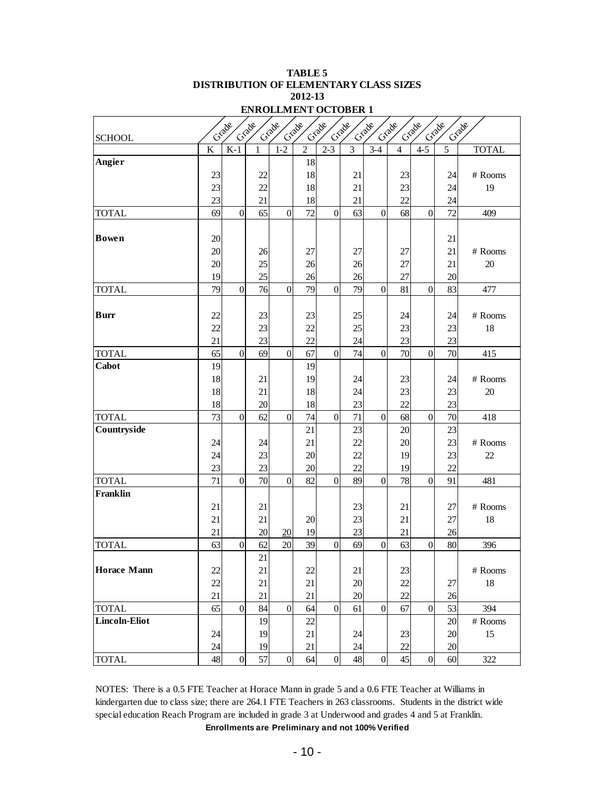| ENROLLMENT OCTOBER I |                         |                 |          |                  |                |                  |                |                  |                |                |                |               |
|----------------------|-------------------------|-----------------|----------|------------------|----------------|------------------|----------------|------------------|----------------|----------------|----------------|---------------|
|                      |                         | Criade          | Crade    | Crade            | Crade          | Crade            | Crade          | Grade            | Criade         | Criade         | Crade          | Craage        |
| <b>SCHOOL</b>        |                         |                 |          |                  |                |                  |                |                  |                |                |                |               |
|                      | $\overline{\mathbf{K}}$ | $K-1$           | 1        | $1 - 2$          | $\overline{2}$ | $2 - 3$          | $\overline{3}$ | $3-4$            | $\overline{4}$ | $4-5$          | $\overline{5}$ | <b>TOTAL</b>  |
| Angier               |                         |                 |          |                  | 18             |                  |                |                  |                |                |                |               |
|                      | 23                      |                 | 22       |                  | 18             |                  | 21             |                  | 23             |                | 24             | # Rooms       |
|                      | 23                      |                 | 22       |                  | 18             |                  | 21             |                  | 23             |                | 24             | 19            |
|                      | 23                      |                 | 21       |                  | 18             |                  | 21             |                  | 22             |                | 24             |               |
| <b>TOTAL</b>         | 69                      | $\overline{0}$  | 65       | $\boldsymbol{0}$ | 72             | $\overline{0}$   | 63             | $\boldsymbol{0}$ | 68             | $\overline{0}$ | 72             | 409           |
| <b>Bowen</b>         |                         |                 |          |                  |                |                  |                |                  |                |                |                |               |
|                      | 20                      |                 |          |                  |                |                  |                |                  |                |                | 21             |               |
|                      | 20                      |                 | 26<br>25 |                  | 27             |                  | 27             |                  | 27             |                | 21             | # Rooms<br>20 |
|                      | 20<br>19                |                 | 25       |                  | 26<br>26       |                  | 26<br>26       |                  | 27<br>27       |                | 21<br>20       |               |
| <b>TOTAL</b>         | 79                      | $\overline{0}$  | 76       | $\overline{0}$   | 79             | $\overline{0}$   | 79             | $\boldsymbol{0}$ | 81             | $\overline{0}$ | 83             | 477           |
|                      |                         |                 |          |                  |                |                  |                |                  |                |                |                |               |
| <b>Burr</b>          | 22                      |                 | 23       |                  | 23             |                  | 25             |                  | 24             |                | 24             | # Rooms       |
|                      | 22                      |                 | 23       |                  | 22             |                  | 25             |                  | 23             |                | 23             | 18            |
|                      | 21                      |                 | 23       |                  | 22             |                  | 24             |                  | 23             |                | 23             |               |
| <b>TOTAL</b>         | 65                      | $\mathbf{0}$    | 69       | $\boldsymbol{0}$ | 67             | $\overline{0}$   | 74             | $\overline{0}$   | 70             | $\overline{0}$ | 70             | 415           |
| Cabot                | 19                      |                 |          |                  | 19             |                  |                |                  |                |                |                |               |
|                      | 18                      |                 | 21       |                  | 19             |                  | 24             |                  | 23             |                | 24             | # Rooms       |
|                      | 18                      |                 | 21       |                  | 18             |                  | 24             |                  | 23             |                | 23             | 20            |
|                      | 18                      |                 | 20       |                  | 18             |                  | 23             |                  | 22             |                | 23             |               |
| <b>TOTAL</b>         | 73                      | $\overline{0}$  | 62       | $\overline{0}$   | 74             | $\overline{0}$   | 71             | $\overline{0}$   | 68             | $\overline{0}$ | 70             | 418           |
| Countryside          |                         |                 |          |                  | 21             |                  | 23             |                  | 20             |                | 23             |               |
|                      | 24                      |                 | 24       |                  | 21             |                  | 22             |                  | 20             |                | 23             | # Rooms       |
|                      | 24                      |                 | 23       |                  | 20             |                  | 22             |                  | 19             |                | 23             | 22            |
|                      | 23                      |                 | 23       |                  | 20             |                  | 22             |                  | 19             |                | 22             |               |
| <b>TOTAL</b>         | 71                      | $\overline{0}$  | 70       | $\overline{0}$   | 82             | $\overline{0}$   | 89             | $\boldsymbol{0}$ | 78             | $\overline{0}$ | 91             | 481           |
| Franklin             |                         |                 |          |                  |                |                  |                |                  |                |                |                |               |
|                      | 21                      |                 | 21       |                  |                |                  | 23             |                  | 21             |                | 27             | # Rooms       |
|                      | 21                      |                 | 21       |                  | 20             |                  | 23             |                  | 21             |                | 27             | 18            |
|                      | 21                      |                 | 20       | 20               | 19             |                  | 23             |                  | 21             |                | 26             |               |
| <b>TOTAL</b>         | 63                      | $\overline{0}$  | 62       | 20               | 39             | $\boldsymbol{0}$ | 69             | $\overline{0}$   | 63             | $\overline{0}$ | 80             | 396           |
|                      |                         |                 | 21       |                  |                |                  |                |                  |                |                |                |               |
| <b>Horace Mann</b>   | 22                      |                 | 21       |                  | 22             |                  | 21             |                  | 23             |                |                | $\#$ Rooms    |
|                      | 22                      |                 | 21       |                  | 21             |                  | 20             |                  | 22             |                | 27             | 18            |
|                      | 21                      |                 | 21       |                  | 21             |                  | 20             |                  | 22             |                | 26             |               |
| <b>TOTAL</b>         | 65                      | $\overline{0}$  | 84       | $\overline{0}$   | 64             | $\overline{0}$   | 61             | $\boldsymbol{0}$ | 67             | $\overline{0}$ | 53             | 394           |
| <b>Lincoln-Eliot</b> |                         |                 | 19       |                  | 22             |                  |                |                  |                |                | 20             | $\#$ Rooms    |
|                      | 24                      |                 | 19       |                  | 21             |                  | 24             |                  | 23             |                | 20             | 15            |
|                      | 24                      |                 | 19       |                  | 21             |                  | 24             |                  | 22             |                | 20             |               |
| <b>TOTAL</b>         | 48                      | $\vert 0 \vert$ | 57       | $\boldsymbol{0}$ | 64             | $\overline{0}$   | 48             | $\boldsymbol{0}$ | 45             | $\overline{0}$ | 60             | 322           |

**2012-13 TABLE 5 DISTRIBUTION OF ELEMENTARY CLASS SIZES ENDOLLMENT OCTOBER 1** 

**Enrollments are Preliminary and not 100% Verified** NOTES: There is a 0.5 FTE Teacher at Horace Mann in grade 5 and a 0.6 FTE Teacher at Williams in kindergarten due to class size; there are 264.1 FTE Teachers in 263 classrooms. Students in the district wide special education Reach Program are included in grade 3 at Underwood and grades 4 and 5 at Franklin.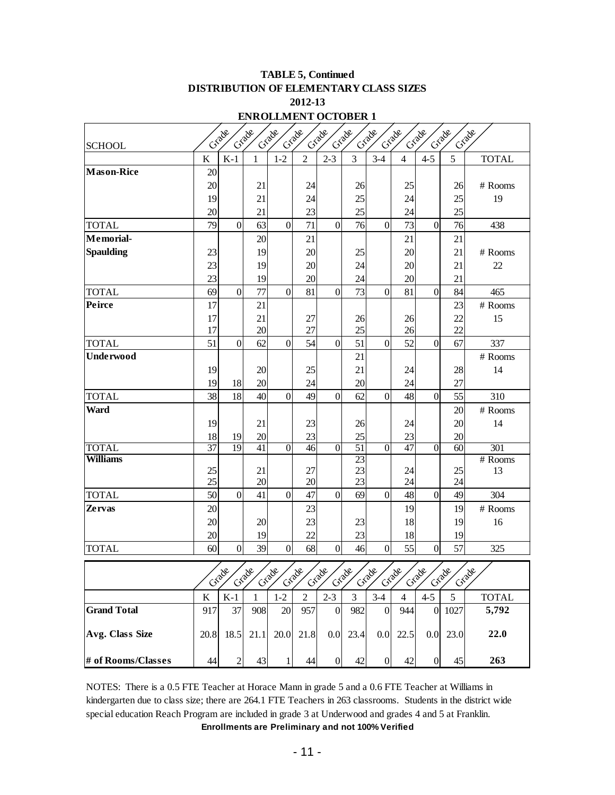| 2012-13<br><b>ENROLLMENT OCTOBER 1</b> |                                                                                                  |                |          |                 |                 |                  |                 |                  |                |                  |                 |              |
|----------------------------------------|--------------------------------------------------------------------------------------------------|----------------|----------|-----------------|-----------------|------------------|-----------------|------------------|----------------|------------------|-----------------|--------------|
|                                        | Grade<br>Grade<br>Criade<br>Crade<br>Grade<br>Grade<br>Grade<br>Grade<br>Crade<br>Grade<br>Grade |                |          |                 |                 |                  |                 |                  |                |                  |                 |              |
| <b>SCHOOL</b>                          |                                                                                                  |                |          |                 |                 |                  |                 |                  |                |                  |                 |              |
|                                        | $\bf K$                                                                                          | $K-1$          | 1        | $1 - 2$         | $\overline{2}$  | $2 - 3$          | 3               | $3-4$            | $\overline{4}$ | $4 - 5$          | 5               | <b>TOTAL</b> |
| <b>Mason-Rice</b>                      | 20                                                                                               |                |          |                 |                 |                  |                 |                  |                |                  |                 |              |
|                                        | 20                                                                                               |                | 21       |                 | 24              |                  | 26              |                  | 25             |                  | 26              | # Rooms      |
|                                        | 19                                                                                               |                | 21       |                 | 24              |                  | 25              |                  | 24             |                  | 25              | 19           |
|                                        | 20                                                                                               |                | 21       |                 | 23              |                  | 25              |                  | 24             |                  | 25              |              |
| <b>TOTAL</b>                           | 79                                                                                               | $\overline{0}$ | 63       | $\overline{0}$  | 71              | $\overline{0}$   | 76              | $\overline{0}$   | 73             | $\overline{0}$   | 76              | 438          |
| Memorial-                              |                                                                                                  |                | 20       |                 | 21              |                  |                 |                  | 21             |                  | 21              |              |
| <b>Spaulding</b>                       | 23                                                                                               |                | 19       |                 | 20              |                  | 25              |                  | 20             |                  | 21              | # Rooms      |
|                                        | 23                                                                                               |                | 19       |                 | 20              |                  | 24              |                  | 20             |                  | 21              | 22           |
|                                        | 23                                                                                               |                | 19       |                 | 20              |                  | 24              |                  | 20             |                  | 21              |              |
| <b>TOTAL</b>                           | 69                                                                                               | $\overline{0}$ | 77       | $\overline{0}$  | 81              | $\overline{0}$   | 73              | $\overline{0}$   | 81             | $\overline{0}$   | 84              | 465          |
| Peirce                                 | 17                                                                                               |                | 21       |                 |                 |                  |                 |                  |                |                  | 23              | # Rooms      |
|                                        | 17<br>17                                                                                         |                | 21<br>20 |                 | 27<br>27        |                  | 26<br>25        |                  | 26<br>26       |                  | 22<br>22        | 15           |
| <b>TOTAL</b>                           | 51                                                                                               | $\overline{0}$ | 62       | $\overline{0}$  | 54              | $\overline{0}$   | 51              | $\overline{0}$   | 52             | $\overline{0}$   | 67              | 337          |
| Underwood                              |                                                                                                  |                |          |                 |                 |                  | 21              |                  |                |                  |                 | # Rooms      |
|                                        | 19                                                                                               |                | 20       |                 | 25              |                  | 21              |                  | 24             |                  | 28              | 14           |
|                                        | 19                                                                                               | 18             | 20       |                 | 24              |                  | 20              |                  | 24             |                  | 27              |              |
| <b>TOTAL</b>                           | 38                                                                                               | 18             | 40       | $\overline{0}$  | 49              | $\overline{0}$   | 62              | $\overline{0}$   | 48             | $\overline{0}$   | 55              | 310          |
| Ward                                   |                                                                                                  |                |          |                 |                 |                  |                 |                  |                |                  | 20              | # Rooms      |
|                                        | 19                                                                                               |                | 21       |                 | 23              |                  | 26              |                  | 24             |                  | 20              | 14           |
|                                        | 18                                                                                               | 19             | 20       |                 | 23              |                  | 25              |                  | 23             |                  | 20              |              |
| <b>TOTAL</b>                           | 37                                                                                               | 19             | 41       | $\overline{0}$  | $\overline{46}$ | $\overline{0}$   | $\overline{51}$ | $\overline{0}$   | 47             | $\overline{0}$   | $\overline{60}$ | 301          |
| Williams                               |                                                                                                  |                |          |                 |                 |                  | $\overline{23}$ |                  |                |                  |                 | # Rooms      |
|                                        | 25                                                                                               |                | 21       |                 | 27              |                  | 23              |                  | 24             |                  | 25              | 13           |
|                                        | 25                                                                                               |                | 20       |                 | 20              |                  | 23              |                  | 24             |                  | 24              |              |
| <b>TOTAL</b>                           | 50                                                                                               | $\overline{0}$ | 41       | $\overline{0}$  | 47              | $\overline{0}$   | 69              | $\overline{0}$   | 48             | $\overline{0}$   | 49              | 304          |
| <b>Zervas</b>                          | 20                                                                                               |                |          |                 | 23              |                  |                 |                  | 19             |                  | 19              | # Rooms      |
|                                        | 20                                                                                               |                | 20       |                 | 23              |                  | 23              |                  | 18             |                  | 19              | 16           |
|                                        | 20<br>60                                                                                         | $\overline{0}$ | 19<br>39 | $\overline{0}$  | 22<br>68        | $\boldsymbol{0}$ | 23<br>46        | $\overline{0}$   | 18<br>55       | $\overline{0}$   | 19<br>57        |              |
| <b>TOTAL</b>                           |                                                                                                  |                |          |                 |                 |                  |                 |                  |                |                  |                 | 325          |
|                                        |                                                                                                  | Criade         | Crack    | Grade           | Grade           | Craace           | Crade           | Crade            | Craace         | Crade            | Grade           | Grade        |
|                                        | K                                                                                                | $K-1$          | 1        | $1 - 2$         | 2               | $2 - 3$          | 3               | $3-4$            | $\overline{4}$ | $4 - 5$          | $\sqrt{5}$      | <b>TOTAL</b> |
| <b>Grand Total</b>                     | 917                                                                                              | 37             | 908      | 20 <sup>1</sup> | 957             | $\boldsymbol{0}$ | 982             | $\overline{0}$   | 944            | $\overline{0}$   | 1027            | 5,792        |
| Avg. Class Size                        | 20.8                                                                                             | 18.5           | 21.1     | 20.0            | 21.8            | 0.0              | 23.4            | 0.0              | 22.5           | 0.0 <sub>l</sub> | 23.0            | 22.0         |
| # of Rooms/Classes                     | 44                                                                                               | $\mathbf{2}$   | 43       | $\mathbf{1}$    | 44              | $\boldsymbol{0}$ | 42              | $\boldsymbol{0}$ | 42             | 0                | 45              | 263          |

**2012-13 DISTRIBUTION OF ELEMENTARY CLASS SIZES TABLE 5, Continued**

**Enrollments are Preliminary and not 100% Verified** NOTES: There is a 0.5 FTE Teacher at Horace Mann in grade 5 and a 0.6 FTE Teacher at Williams in kindergarten due to class size; there are 264.1 FTE Teachers in 263 classrooms. Students in the district wide special education Reach Program are included in grade 3 at Underwood and grades 4 and 5 at Franklin.